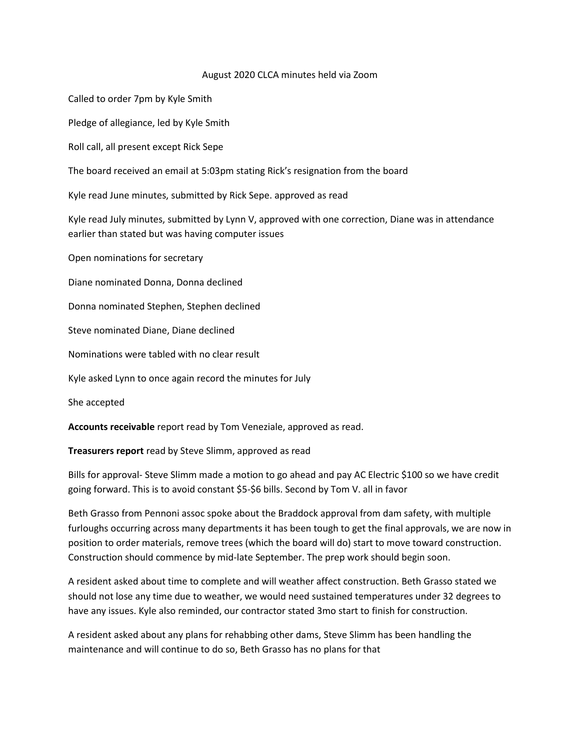#### August 2020 CLCA minutes held via Zoom

Called to order 7pm by Kyle Smith

Pledge of allegiance, led by Kyle Smith

Roll call, all present except Rick Sepe

The board received an email at 5:03pm stating Rick's resignation from the board

Kyle read June minutes, submitted by Rick Sepe. approved as read

Kyle read July minutes, submitted by Lynn V, approved with one correction, Diane was in attendance earlier than stated but was having computer issues

Open nominations for secretary

Diane nominated Donna, Donna declined

Donna nominated Stephen, Stephen declined

Steve nominated Diane, Diane declined

Nominations were tabled with no clear result

Kyle asked Lynn to once again record the minutes for July

She accepted

**Accounts receivable** report read by Tom Veneziale, approved as read.

**Treasurers report** read by Steve Slimm, approved as read

Bills for approval- Steve Slimm made a motion to go ahead and pay AC Electric \$100 so we have credit going forward. This is to avoid constant \$5-\$6 bills. Second by Tom V. all in favor

Beth Grasso from Pennoni assoc spoke about the Braddock approval from dam safety, with multiple furloughs occurring across many departments it has been tough to get the final approvals, we are now in position to order materials, remove trees (which the board will do) start to move toward construction. Construction should commence by mid-late September. The prep work should begin soon.

A resident asked about time to complete and will weather affect construction. Beth Grasso stated we should not lose any time due to weather, we would need sustained temperatures under 32 degrees to have any issues. Kyle also reminded, our contractor stated 3mo start to finish for construction.

A resident asked about any plans for rehabbing other dams, Steve Slimm has been handling the maintenance and will continue to do so, Beth Grasso has no plans for that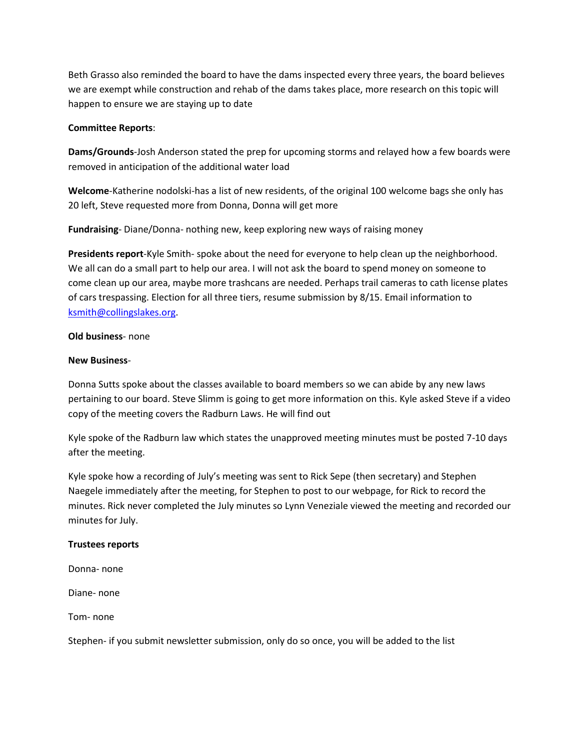Beth Grasso also reminded the board to have the dams inspected every three years, the board believes we are exempt while construction and rehab of the dams takes place, more research on this topic will happen to ensure we are staying up to date

### **Committee Reports**:

**Dams/Grounds**-Josh Anderson stated the prep for upcoming storms and relayed how a few boards were removed in anticipation of the additional water load

**Welcome**-Katherine nodolski-has a list of new residents, of the original 100 welcome bags she only has 20 left, Steve requested more from Donna, Donna will get more

**Fundraising**- Diane/Donna- nothing new, keep exploring new ways of raising money

**Presidents report**-Kyle Smith- spoke about the need for everyone to help clean up the neighborhood. We all can do a small part to help our area. I will not ask the board to spend money on someone to come clean up our area, maybe more trashcans are needed. Perhaps trail cameras to cath license plates of cars trespassing. Election for all three tiers, resume submission by 8/15. Email information to [ksmith@collingslakes.org.](about:blank)

### **Old business**- none

### **New Business**-

Donna Sutts spoke about the classes available to board members so we can abide by any new laws pertaining to our board. Steve Slimm is going to get more information on this. Kyle asked Steve if a video copy of the meeting covers the Radburn Laws. He will find out

Kyle spoke of the Radburn law which states the unapproved meeting minutes must be posted 7-10 days after the meeting.

Kyle spoke how a recording of July's meeting was sent to Rick Sepe (then secretary) and Stephen Naegele immediately after the meeting, for Stephen to post to our webpage, for Rick to record the minutes. Rick never completed the July minutes so Lynn Veneziale viewed the meeting and recorded our minutes for July.

### **Trustees reports**

Donna- none

Diane- none

Tom- none

Stephen- if you submit newsletter submission, only do so once, you will be added to the list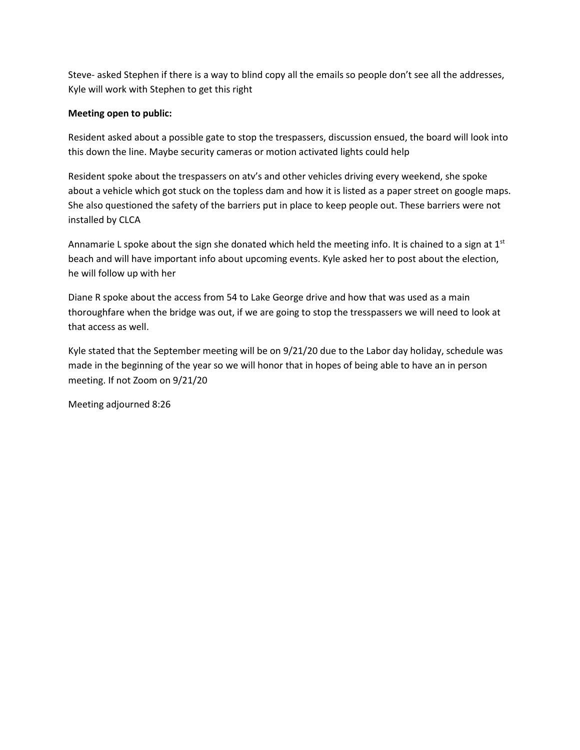Steve- asked Stephen if there is a way to blind copy all the emails so people don't see all the addresses, Kyle will work with Stephen to get this right

### **Meeting open to public:**

Resident asked about a possible gate to stop the trespassers, discussion ensued, the board will look into this down the line. Maybe security cameras or motion activated lights could help

Resident spoke about the trespassers on atv's and other vehicles driving every weekend, she spoke about a vehicle which got stuck on the topless dam and how it is listed as a paper street on google maps. She also questioned the safety of the barriers put in place to keep people out. These barriers were not installed by CLCA

Annamarie L spoke about the sign she donated which held the meeting info. It is chained to a sign at  $1<sup>st</sup>$ beach and will have important info about upcoming events. Kyle asked her to post about the election, he will follow up with her

Diane R spoke about the access from 54 to Lake George drive and how that was used as a main thoroughfare when the bridge was out, if we are going to stop the tresspassers we will need to look at that access as well.

Kyle stated that the September meeting will be on 9/21/20 due to the Labor day holiday, schedule was made in the beginning of the year so we will honor that in hopes of being able to have an in person meeting. If not Zoom on 9/21/20

Meeting adjourned 8:26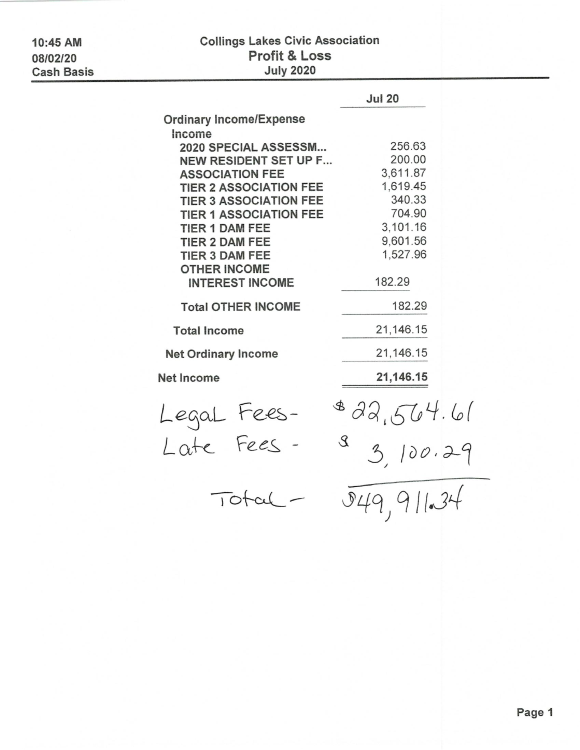10:45 AM 08/02/20 **Cash Basis** 

# **Collings Lakes Civic Association** Profit & Loss **July 2020**

|                                                        | <b>Jul 20</b>             |
|--------------------------------------------------------|---------------------------|
| <b>Ordinary Income/Expense</b>                         |                           |
| Income<br>2020 SPECIAL ASSESSM                         | 256.63                    |
| <b>NEW RESIDENT SET UP F</b>                           | 200.00                    |
| <b>ASSOCIATION FEE</b>                                 | 3,611.87                  |
| <b>TIER 2 ASSOCIATION FEE</b>                          | 1,619.45                  |
| <b>TIER 3 ASSOCIATION FEE</b>                          | 340.33                    |
| <b>TIER 1 ASSOCIATION FEE</b><br><b>TIER 1 DAM FEE</b> | 704.90<br>3,101.16        |
| <b>TIER 2 DAM FEE</b>                                  | 9,601.56                  |
| <b>TIER 3 DAM FEE</b>                                  | 1,527.96                  |
| <b>OTHER INCOME</b>                                    |                           |
| <b>INTEREST INCOME</b>                                 | 182.29                    |
| <b>Total OTHER INCOME</b>                              | 182.29                    |
| <b>Total Income</b>                                    | 21,146.15                 |
| <b>Net Ordinary Income</b>                             | 21,146.15                 |
| <b>Net Income</b>                                      | 21,146.15                 |
| Legal Fees-<br>Late Fees-                              | 822,564.61                |
|                                                        | 3,100.29<br>$\mathcal{S}$ |
| 10t                                                    | 9149,91134                |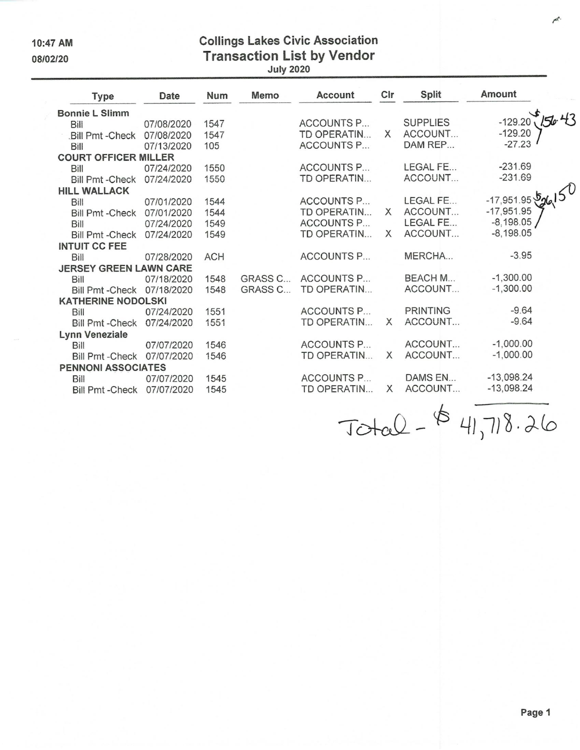10:47 AM 08/02/20

**Collings Lakes Civic Association** Transaction List by Vendor

| Type                          | Date       | Num        | <b>Memo</b> |                       |          | Account Cir Split Amount |                      |  |
|-------------------------------|------------|------------|-------------|-----------------------|----------|--------------------------|----------------------|--|
| Bonnie L Slimm                |            |            |             |                       |          |                          |                      |  |
| Bill                          | 07/08/2020 | 1547       |             | ACCOUNTS P            |          | <b>SUPPLIES</b>          | $-129.20$            |  |
| .Bill Pmt - Check 07/08/2020  |            | 1547       |             | TD OPERATIN X ACCOUNT |          |                          | $-129.20$            |  |
| Bill                          | 07/13/2020 | 105        |             | ACCOUNTS P            |          | DAM REP                  | $-27.23$             |  |
| <b>COURT OFFICER MILLER</b>   |            |            |             |                       |          |                          |                      |  |
| Bill                          | 07/24/2020 | 1550       |             | <b>ACCOUNTS P</b>     |          | LEGAL FE                 | $-231.69$            |  |
| Bill Pmt - Check 07/24/2020   |            | 1550       |             | TD OPERATIN           |          | ACCOUNT                  | $-231.69$            |  |
| HILL WALLACK                  |            |            |             |                       |          |                          | -17,951.95 $50(150)$ |  |
| Bill                          | 07/01/2020 | 1544       |             | <b>ACCOUNTS P</b>     |          | LEGAL FE                 |                      |  |
| Bill Pmt - Check 07/01/2020   |            | 1544       |             | TD OPERATIN X ACCOUNT |          |                          | $-17,951.95$         |  |
| Bill                          | 07/24/2020 | 1549       |             | ACCOUNTS P            |          | <b>LEGAL FE</b>          | $-8,198.05$          |  |
| Bill Pmt - Check 07/24/2020   |            | 1549       |             | TD OPERATIN X ACCOUNT |          |                          | $-8,198.05$          |  |
| <b>INTUIT CC FEE</b>          |            |            |             |                       |          |                          |                      |  |
| Bill                          | 07/28/2020 | <b>ACH</b> |             | ACCOUNTS P            |          | MERCHA                   | $-3.95$              |  |
| <b>JERSEY GREEN LAWN CARE</b> |            |            |             |                       |          |                          |                      |  |
| Bill                          | 07/18/2020 | 1548       |             | GRASS C ACCOUNTS P    |          | BEACH M                  | $-1,300.00$          |  |
| Bill Pmt - Check 07/18/2020   |            | 1548       | GRASS C     | TD OPERATIN           |          | ACCOUNT                  | $-1,300.00$          |  |
| <b>KATHERINE NODOLSKI</b>     |            |            |             |                       |          |                          |                      |  |
| <b>Bill</b>                   | 07/24/2020 | 1551       |             | ACCOUNTS P PRINTING   |          |                          | $-9.64$              |  |
| Bill Pmt - Check 07/24/2020   |            | 1551       |             | TD OPERATIN X         |          | ACCOUNT                  | $-9.64$              |  |
| Lynn Veneziale                |            |            |             |                       |          |                          |                      |  |
| <b>Bill</b>                   | 07/07/2020 | 1546       |             | ACCOUNTS P            |          | ACCOUNT                  | $-1,000.00$          |  |
| Bill Pmt - Check 07/07/2020   |            | 1546       |             | TD OPERATIN           | $\times$ | ACCOUNT                  | $-1,000.00$          |  |
| <b>PENNONI ASSOCIATES</b>     |            |            |             |                       |          |                          |                      |  |
| Bill                          | 07/07/2020 | 1545       |             | ACCOUNTS P            |          | DAMS EN                  | $-13,098.24$         |  |
| Bill Pmt - Check 07/07/2020   |            | 1545       |             | TD OPERATIN X         |          | ACCOUNT                  | $-13,098.24$         |  |
|                               |            |            |             |                       |          |                          |                      |  |

 $ToteQ - 64,718.26$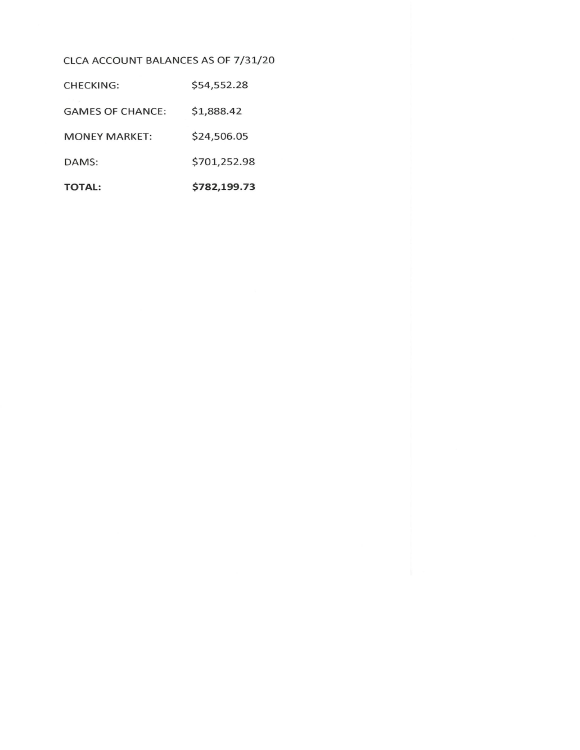## CLCA ACCOUNT BALANCES AS OF 7/31/20

| <b>TOTAL:</b>           | \$782,199.73 |
|-------------------------|--------------|
| DAMS:                   | \$701,252.98 |
| <b>MONEY MARKET:</b>    | \$24,506.05  |
| <b>GAMES OF CHANCE:</b> | \$1,888.42   |
| CHECKING:               | \$54,552.28  |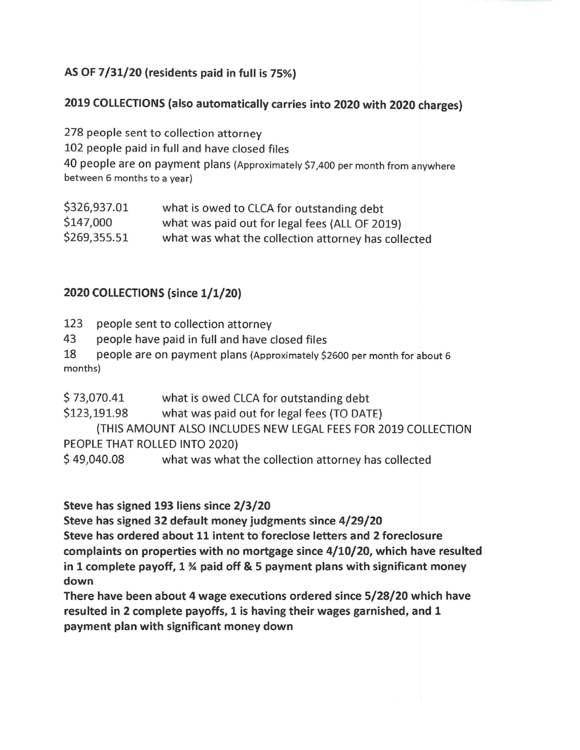## AS OF 7/31/20 (residents paid in full is 75%)

## 2019 COLLECTIONS (also automatically carries into 2020 with 2020 charges)

278 people sent to collection attorney 102 people paid in full and have closed files 40 people are on payment plans (Approximately \$7,400 per month from anywhere between 6 months to a year)

| \$326,937.01 | what is owed to CLCA for outstanding debt           |
|--------------|-----------------------------------------------------|
| \$147,000    | what was paid out for legal fees (ALL OF 2019)      |
| \$269,355.51 | what was what the collection attorney has collected |

## 2020 COLLECTIONS (since 1/1/20)

- 123 people sent to collection attorney
- 43 people have paid in full and have closed files
- 18 people are on payment plans (Approximately \$2600 per month for about 6 months)
- \$73,070.41 what is owed CLCA for outstanding debt
- \$123,191.98 what was paid out for legal fees (TO DATE)

(THIS AMOUNT ALSO INCLUDES NEW LEGAL FEES FOR 2019 COLLECTION PEOPLE THAT ROLLED INTO 2020)

\$49,040.08 what was what the collection attorney has collected

Steve has signed 193 liens since 2/3/20

Steve has signed 32 default money judgments since 4/29/20

Steve has ordered about 11 intent to foreclose letters and 2 foreclosure complaints on properties with no mortgage since  $4/10/20$ , which have resulted in 1 complete payoff,  $1\frac{3}{4}$  paid off & 5 payment plans with significant money down

There have been about 4 wage executions ordered since 5/28/20 which have resulted in 2 complete payoffs, 1 is having their wages garnished, and 1 payment plan with significant money down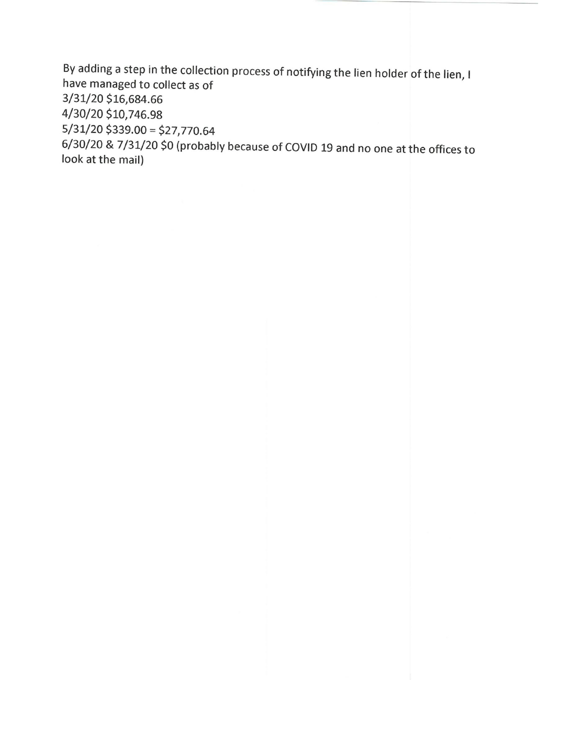By adding a step in the collection process of notifying the lien holder of the lien, I have managed to collect as of 3/31/20 \$16,684.66 4/30/20 \$10,746.98  $5/31/20$ \$339.00 = \$27,770.64 6/30/20 & 7/31/20 \$0 (probably because of COVID 19 and no one at the offices to look at the mail)